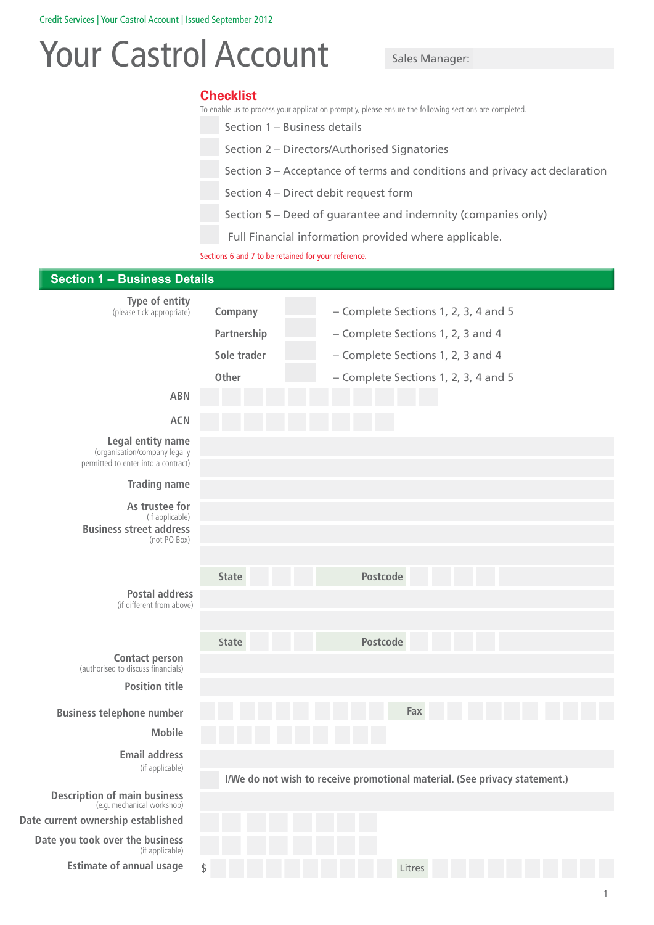# Your Castrol Account Sales Manager:

# **Checklist**

To enable us to process your application promptly, please ensure the following sections are completed.

Section 1 – Business details

Section 2 – Directors/Authorised Signatories

Section 3 – Acceptance of terms and conditions and privacy act declaration

Section 4 – Direct debit request form

Section 5 – Deed of guarantee and indemnity (companies only)

Full Financial information provided where applicable.

Sections 6 and 7 to be retained for your reference.

| <b>Section 1 - Business Details</b>                                                       |              |                                                                            |
|-------------------------------------------------------------------------------------------|--------------|----------------------------------------------------------------------------|
| Type of entity<br>(please tick appropriate)                                               | Company      | - Complete Sections 1, 2, 3, 4 and 5                                       |
|                                                                                           | Partnership  | - Complete Sections 1, 2, 3 and 4                                          |
|                                                                                           | Sole trader  | - Complete Sections 1, 2, 3 and 4                                          |
|                                                                                           | Other        | - Complete Sections 1, 2, 3, 4 and 5                                       |
| <b>ABN</b>                                                                                |              |                                                                            |
| <b>ACN</b>                                                                                |              |                                                                            |
| Legal entity name<br>(organisation/company legally<br>permitted to enter into a contract) |              |                                                                            |
| <b>Trading name</b>                                                                       |              |                                                                            |
| As trustee for<br>(if applicable)                                                         |              |                                                                            |
| <b>Business street address</b><br>(not PO Box)                                            |              |                                                                            |
|                                                                                           | <b>State</b> | Postcode                                                                   |
| <b>Postal address</b><br>(if different from above)                                        |              |                                                                            |
|                                                                                           |              |                                                                            |
|                                                                                           | State        | Postcode                                                                   |
| <b>Contact person</b><br>(authorised to discuss financials)                               |              |                                                                            |
| <b>Position title</b>                                                                     |              |                                                                            |
| <b>Business telephone number</b>                                                          |              | Fax                                                                        |
| <b>Mobile</b>                                                                             |              |                                                                            |
| <b>Email address</b>                                                                      |              |                                                                            |
| (if applicable)                                                                           |              | I/We do not wish to receive promotional material. (See privacy statement.) |
| <b>Description of main business</b><br>(e.g. mechanical workshop)                         |              |                                                                            |
| Date current ownership established                                                        |              |                                                                            |
| Date you took over the business<br>(if applicable)                                        |              |                                                                            |
| <b>Estimate of annual usage</b>                                                           | \$           | Litres                                                                     |
|                                                                                           |              |                                                                            |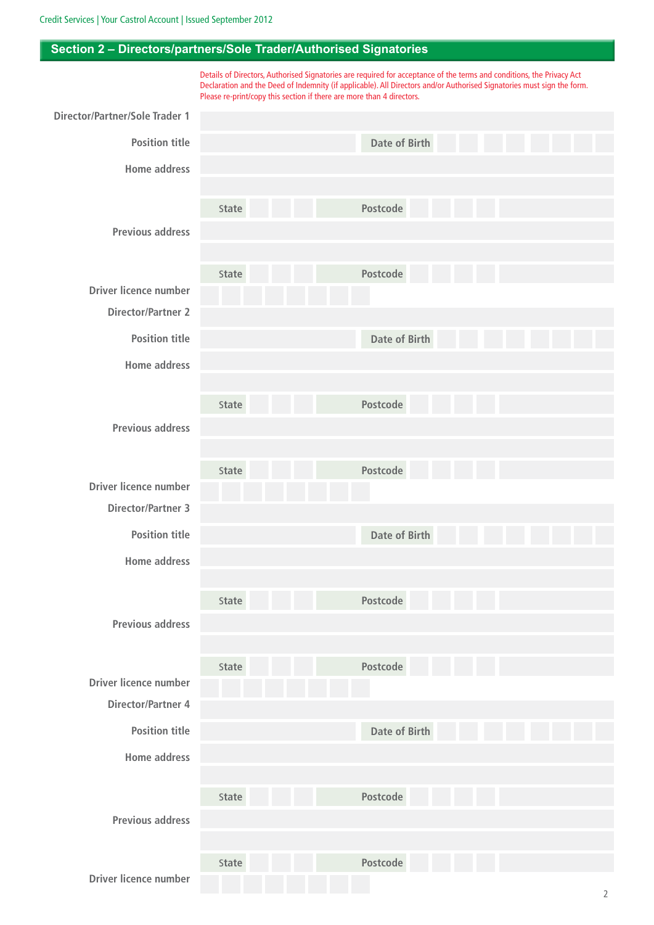# **Section 2 – Directors/partners/Sole Trader/Authorised Signatories**

Details of Directors, Authorised Signatories are required for acceptance of the terms and conditions, the Privacy Act Declaration and the Deed of Indemnity (if applicable). All Directors and/or Authorised Signatories must sign the form. Please re-print/copy this section if there are more than 4 directors. **Director/Partner/Sole Trader 1 Position title Home address Previous address Driver licence number Date of Birth Date of Birth Date of Birth Date of Birth** S**tate** S**tate** S**tate** S**tate** S**tate** S**tate** S**tate** S**tate Postcode Postcode Postcode Postcode Postcode Postcode Postcode Postcode Director/Partner 2 Position title Home address Previous address Driver licence number Director/Partner 3 Position title Home address Previous address Driver licence number Director/Partner 4 Position title Home address Previous address Driver licence number**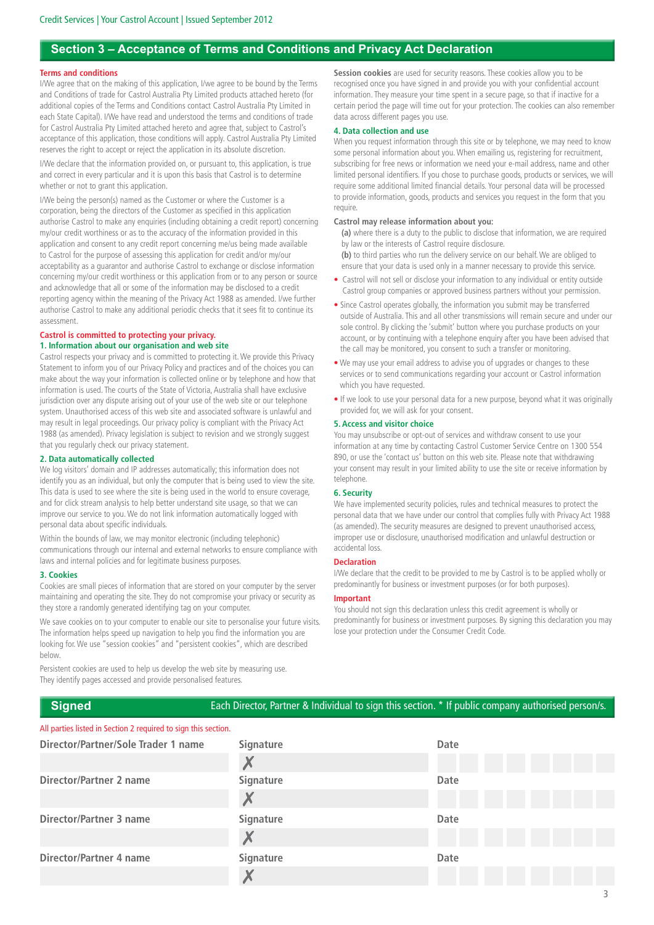# **Section 3 – Acceptance of Terms and Conditions and Privacy Act Declaration**

#### **Terms and conditions**

I/We agree that on the making of this application, I/we agree to be bound by the Terms and Conditions of trade for Castrol Australia Pty Limited products attached hereto (for additional copies of the Terms and Conditions contact Castrol Australia Pty Limited in each State Capital). I/We have read and understood the terms and conditions of trade for Castrol Australia Pty Limited attached hereto and agree that, subject to Castrol's acceptance of this application, those conditions will apply. Castrol Australia Pty Limited reserves the right to accept or reject the application in its absolute discretion.

I/We declare that the information provided on, or pursuant to, this application, is true and correct in every particular and it is upon this basis that Castrol is to determine whether or not to grant this application.

I/We being the person(s) named as the Customer or where the Customer is a corporation, being the directors of the Customer as specified in this application authorise Castrol to make any enquiries (including obtaining a credit report) concerning my/our credit worthiness or as to the accuracy of the information provided in this application and consent to any credit report concerning me/us being made available to Castrol for the purpose of assessing this application for credit and/or my/our acceptability as a guarantor and authorise Castrol to exchange or disclose information concerning my/our credit worthiness or this application from or to any person or source and acknowledge that all or some of the information may be disclosed to a credit reporting agency within the meaning of the Privacy Act 1988 as amended. I/we further authorise Castrol to make any additional periodic checks that it sees fit to continue its assessment.

#### **Castrol is committed to protecting your privacy. 1. Information about our organisation and web site**

Castrol respects your privacy and is committed to protecting it. We provide this Privacy Statement to inform you of our Privacy Policy and practices and of the choices you can make about the way your information is collected online or by telephone and how that information is used. The courts of the State of Victoria, Australia shall have exclusive jurisdiction over any dispute arising out of your use of the web site or our telephone system. Unauthorised access of this web site and associated software is unlawful and may result in legal proceedings. Our privacy policy is compliant with the Privacy Act 1988 (as amended). Privacy legislation is subject to revision and we strongly suggest that you regularly check our privacy statement.

## **2. Data automatically collected**

We log visitors' domain and IP addresses automatically; this information does not identify you as an individual, but only the computer that is being used to view the site. This data is used to see where the site is being used in the world to ensure coverage, and for click stream analysis to help better understand site usage, so that we can improve our service to you. We do not link information automatically logged with personal data about specific individuals.

Within the bounds of law, we may monitor electronic (including telephonic) communications through our internal and external networks to ensure compliance with laws and internal policies and for legitimate business purposes.

#### **3. Cookies**

Cookies are small pieces of information that are stored on your computer by the server maintaining and operating the site. They do not compromise your privacy or security as they store a randomly generated identifying tag on your computer.

We save cookies on to your computer to enable our site to personalise your future visits. The information helps speed up navigation to help you find the information you are looking for. We use "session cookies" and "persistent cookies", which are described below.

Persistent cookies are used to help us develop the web site by measuring use. They identify pages accessed and provide personalised features.

**Session cookies** are used for security reasons. These cookies allow you to be recognised once you have signed in and provide you with your confidential account information. They measure your time spent in a secure page, so that if inactive for a certain period the page will time out for your protection. The cookies can also remember data across different pages you use.

#### **4. Data collection and use**

When you request information through this site or by telephone, we may need to know some personal information about you. When emailing us, registering for recruitment, subscribing for free news or information we need your e-mail address, name and other limited personal identifiers. If you chose to purchase goods, products or services, we will require some additional limited financial details. Your personal data will be processed to provide information, goods, products and services you request in the form that you require.

#### **Castrol may release information about you:**

 **(a)** where there is a duty to the public to disclose that information, we are required by law or the interests of Castrol require disclosure.

**(b)** to third parties who run the delivery service on our behalf. We are obliged to ensure that your data is used only in a manner necessary to provide this service.

- Castrol will not sell or disclose your information to any individual or entity outside Castrol group companies or approved business partners without your permission.
- Since Castrol operates globally, the information you submit may be transferred outside of Australia. This and all other transmissions will remain secure and under our sole control. By clicking the 'submit' button where you purchase products on your account, or by continuing with a telephone enquiry after you have been advised that the call may be monitored, you consent to such a transfer or monitoring.
- We may use your email address to advise you of upgrades or changes to these services or to send communications regarding your account or Castrol information which you have requested.
- If we look to use your personal data for a new purpose, beyond what it was originally provided for, we will ask for your consent.

#### **5. Access and visitor choice**

You may unsubscribe or opt-out of services and withdraw consent to use your information at any time by contacting Castrol Customer Service Centre on 1300 554 890, or use the 'contact us' button on this web site. Please note that withdrawing your consent may result in your limited ability to use the site or receive information by telephone.

#### **6. Security**

We have implemented security policies, rules and technical measures to protect the personal data that we have under our control that complies fully with Privacy Act 1988 (as amended). The security measures are designed to prevent unauthorised access, improper use or disclosure, unauthorised modification and unlawful destruction or accidental loss.

#### **Declaration**

I/We declare that the credit to be provided to me by Castrol is to be applied wholly or predominantly for business or investment purposes (or for both purposes).

#### **Important**

You should not sign this declaration unless this credit agreement is wholly or predominantly for business or investment purposes. By signing this declaration you may lose your protection under the Consumer Credit Code.

#### All parties listed in Section 2 required to sign this section. **Director/Partner/Sole Trader 1 name Signature Date** X **Director/Partner 2 name Signature Date** X **Director/Partner 3 name Signature Date** X **Director/Partner 4 name Signature Date** Χ

**Signed** Each Director, Partner & Individual to sign this section. \* If public company authorised person/s.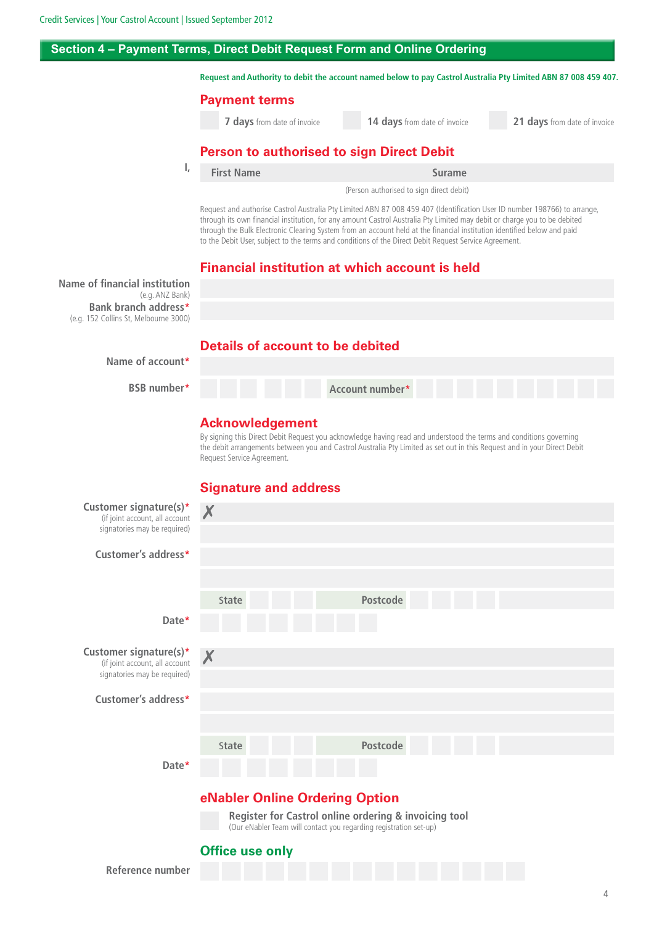**I,**

# **Section 4 – Payment Terms, Direct Debit Request Form and Online Ordering**

**Request and Authority to debit the account named below to pay Castrol Australia Pty Limited ABN 87 008 459 407.**

## **Payment terms**

 **7 days** from date of invoice **14 days** from date of invoice **21 days** from date of invoice

# **Person to authorised to sign Direct Debit**

| <b>First Name</b> | Surame                                   |
|-------------------|------------------------------------------|
|                   | (Person authorised to sign direct debit) |

Request and authorise Castrol Australia Pty Limited ABN 87 008 459 407 (Identification User ID number 198766) to arrange, through its own financial institution, for any amount Castrol Australia Pty Limited may debit or charge you to be debited through the Bulk Electronic Clearing System from an account held at the financial institution identified below and paid to the Debit User, subject to the terms and conditions of the Direct Debit Request Service Agreement.

# **Financial institution at which account is held**

**Name of financial institution** (e.g. ANZ Bank) **Bank branch address\*** (e.g. 152 Collins St, Melbourne 3000)

# **Details of account to be debited**



**BSB number\***

| number*<br>Account number* |  |
|----------------------------|--|
|----------------------------|--|

# **Acknowledgement**

By signing this Direct Debit Request you acknowledge having read and understood the terms and conditions governing the debit arrangements between you and Castrol Australia Pty Limited as set out in this Request and in your Direct Debit Request Service Agreement.

# **Signature and address**

| Customer signature(s)*<br>(if joint account, all account<br>signatories may be required) | X                                                                                                                          |                 |  |  |
|------------------------------------------------------------------------------------------|----------------------------------------------------------------------------------------------------------------------------|-----------------|--|--|
| Customer's address*                                                                      |                                                                                                                            |                 |  |  |
|                                                                                          | State                                                                                                                      | Postcode        |  |  |
| Date*                                                                                    |                                                                                                                            |                 |  |  |
| Customer signature(s)*<br>(if joint account, all account<br>signatories may be required) | X                                                                                                                          |                 |  |  |
| Customer's address*                                                                      |                                                                                                                            |                 |  |  |
|                                                                                          | <b>State</b>                                                                                                               | <b>Postcode</b> |  |  |
| Date*                                                                                    |                                                                                                                            |                 |  |  |
| eNabler Online Ordering Option                                                           |                                                                                                                            |                 |  |  |
|                                                                                          | Register for Castrol online ordering & invoicing tool<br>(Our eNabler Team will contact you regarding registration set-up) |                 |  |  |
|                                                                                          | <b>Office use only</b>                                                                                                     |                 |  |  |
| Reference number                                                                         |                                                                                                                            |                 |  |  |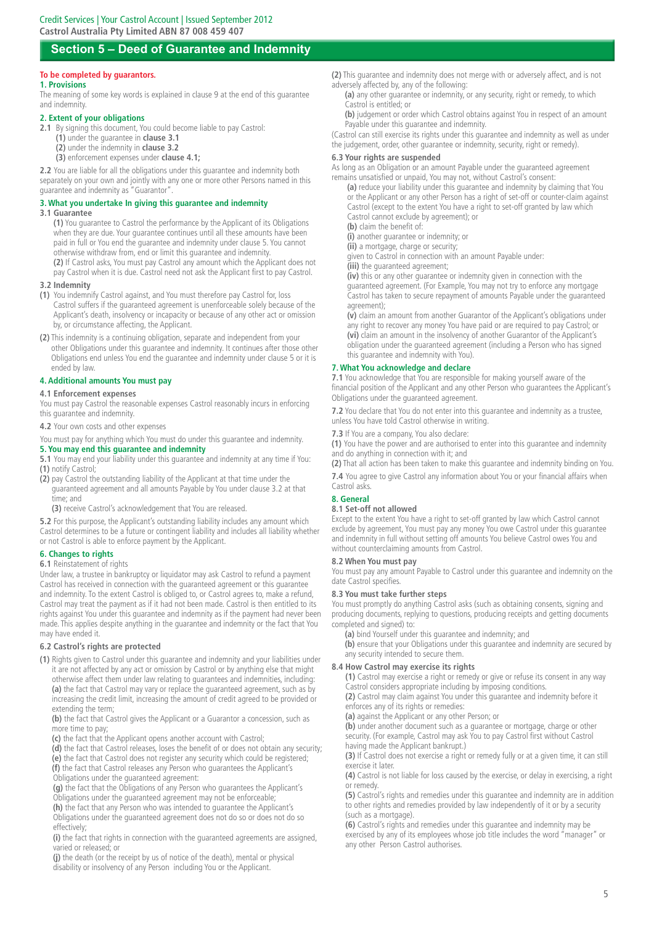# **Section 5 – Deed of Guarantee and Indemnity**

## **To be completed by guarantors.**

**1. Provisions**

The meaning of some key words is explained in clause 9 at the end of this guarantee and indemnity.

#### **2. Extent of your obligations**

- **2.1** By signing this document, You could become liable to pay Castrol:
	- **(1)** under the guarantee in **clause 3.1**
	- **(2)** under the indemnity in **clause 3.2 (3)** enforcement expenses under **clause 4.1;**

**2.2** You are liable for all the obligations under this guarantee and indemnity both separately on your own and jointly with any one or more other Persons named in this guarantee and indemnity as "Guarantor".

## **3. What you undertake In giving this guarantee and indemnity**

#### **3.1 Guarantee**

**(1)** You guarantee to Castrol the performance by the Applicant of its Obligations when they are due. Your guarantee continues until all these amounts have been paid in full or You end the guarantee and indemnity under clause 5. You cannot otherwise withdraw from, end or limit this guarantee and indemnity.

**(2)** If Castrol asks, You must pay Castrol any amount which the Applicant does not pay Castrol when it is due. Castrol need not ask the Applicant first to pay Castrol.

# **3.2 Indemnity**

- **(1)** You indemnify Castrol against, and You must therefore pay Castrol for, loss Castrol suffers if the guaranteed agreement is unenforceable solely because of the Applicant's death, insolvency or incapacity or because of any other act or omission by, or circumstance affecting, the Applicant.
- **(2)** This indemnity is a continuing obligation, separate and independent from your other Obligations under this guarantee and indemnity. It continues after those other Obligations end unless You end the guarantee and indemnity under clause 5 or it is ended by law.

#### **4. Additional amounts You must pay**

#### **4.1 Enforcement expenses**

You must pay Castrol the reasonable expenses Castrol reasonably incurs in enforcing this guarantee and indemnity.

**4.2** Your own costs and other expenses

You must pay for anything which You must do under this guarantee and indemnity.

#### **5. You may end this guarantee and indemnity**

**5.1** You may end your liability under this guarantee and indemnity at any time if You: **(1)** notify Castrol;

**(2)** pay Castrol the outstanding liability of the Applicant at that time under the guaranteed agreement and all amounts Payable by You under clause 3.2 at that time; and

**(3)** receive Castrol's acknowledgement that You are released.

**5.2** For this purpose, the Applicant's outstanding liability includes any amount which Castrol determines to be a future or contingent liability and includes all liability whether or not Castrol is able to enforce payment by the Applicant.

#### **6. Changes to rights**

#### **6.1** Reinstatement of rights

Under law, a trustee in bankruptcy or liquidator may ask Castrol to refund a payment Castrol has received in connection with the guaranteed agreement or this guarantee and indemnity. To the extent Castrol is obliged to, or Castrol agrees to, make a refund, Castrol may treat the payment as if it had not been made. Castrol is then entitled to its rights against You under this guarantee and indemnity as if the payment had never been made. This applies despite anything in the guarantee and indemnity or the fact that You may have ended it.

#### **6.2 Castrol's rights are protected**

**(1)** Rights given to Castrol under this guarantee and indemnity and your liabilities under it are not affected by any act or omission by Castrol or by anything else that might otherwise affect them under law relating to guarantees and indemnities, including: **(a)** the fact that Castrol may vary or replace the guaranteed agreement, such as by increasing the credit limit, increasing the amount of credit agreed to be provided or extending the term;

**(b)** the fact that Castrol gives the Applicant or a Guarantor a concession, such as more time to pay;

**(c)** the fact that the Applicant opens another account with Castrol;

**(d)** the fact that Castrol releases, loses the benefit of or does not obtain any security; **(e)** the fact that Castrol does not register any security which could be registered; **(f)** the fact that Castrol releases any Person who guarantees the Applicant's

Obligations under the guaranteed agreement:

**(g)** the fact that the Obligations of any Person who guarantees the Applicant's

Obligations under the guaranteed agreement may not be enforceable;

**(h)** the fact that any Person who was intended to guarantee the Applicant's Obligations under the guaranteed agreement does not do so or does not do so effectively;

**(i)** the fact that rights in connection with the guaranteed agreements are assigned, varied or released; or

**(j)** the death (or the receipt by us of notice of the death), mental or physical disability or insolvency of any Person including You or the Applicant.

**(2)** This guarantee and indemnity does not merge with or adversely affect, and is not adversely affected by, any of the following:

 **(a)** any other guarantee or indemnity, or any security, right or remedy, to which Castrol is entitled; or

**(b)** judgement or order which Castrol obtains against You in respect of an amount Payable under this guarantee and indemnity.

(Castrol can still exercise its rights under this guarantee and indemnity as well as under the judgement, order, other guarantee or indemnity, security, right or remedy).

#### **6.3 Your rights are suspended**

As long as an Obligation or an amount Payable under the guaranteed agreement remains unsatisfied or unpaid, You may not, without Castrol's consent:

**(a)** reduce your liability under this guarantee and indemnity by claiming that You or the Applicant or any other Person has a right of set-off or counter-claim against Castrol (except to the extent You have a right to set-off granted by law which Castrol cannot exclude by agreement); or

**(b)** claim the benefit of:

**(i)** another guarantee or indemnity; or

**(ii)** a mortgage, charge or security;

given to Castrol in connection with an amount Payable under:

**(iii)** the guaranteed agreement;

**(iv)** this or any other guarantee or indemnity given in connection with the guaranteed agreement. (For Example, You may not try to enforce any mortgage Castrol has taken to secure repayment of amounts Payable under the guaranteed agreement);

**(v)** claim an amount from another Guarantor of the Applicant's obligations under any right to recover any money You have paid or are required to pay Castrol; or **(vi)** claim an amount in the insolvency of another Guarantor of the Applicant's obligation under the guaranteed agreement (including a Person who has signed this guarantee and indemnity with You).

#### **7. What You acknowledge and declare**

**7.1** You acknowledge that You are responsible for making yourself aware of the financial position of the Applicant and any other Person who guarantees the Applicant's Obligations under the guaranteed agreement.

**7.2** You declare that You do not enter into this guarantee and indemnity as a trustee, unless You have told Castrol otherwise in writing.

**7.3** If You are a company, You also declare:

**(1)** You have the power and are authorised to enter into this guarantee and indemnity and do anything in connection with it; and

**(2)** That all action has been taken to make this guarantee and indemnity binding on You. **7.4** You agree to give Castrol any information about You or your financial affairs when

#### Castrol asks. **8. General**

# **8.1 Set-off not allowed**

Except to the extent You have a right to set-off granted by law which Castrol cannot exclude by agreement, You must pay any money You owe Castrol under this guarantee and indemnity in full without setting off amounts You believe Castrol owes You and without counterclaiming amounts from Castrol.

#### **8.2 When You must pay**

You must pay any amount Payable to Castrol under this guarantee and indemnity on the date Castrol specifies.

#### **8.3 You must take further steps**

You must promptly do anything Castrol asks (such as obtaining consents, signing and producing documents, replying to questions, producing receipts and getting documents completed and signed) to:

**(a)** bind Yourself under this guarantee and indemnity; and

 **(b)** ensure that your Obligations under this guarantee and indemnity are secured by any security intended to secure them.

#### **8.4 How Castrol may exercise its rights**

**(1)** Castrol may exercise a right or remedy or give or refuse its consent in any way Castrol considers appropriate including by imposing conditions.

**(2)** Castrol may claim against You under this guarantee and indemnity before it enforces any of its rights or remedies:

**(a)** against the Applicant or any other Person; or

**(b)** under another document such as a guarantee or mortgage, charge or other security. (For example, Castrol may ask You to pay Castrol first without Castrol having made the Applicant bankrupt.)

**(3)** If Castrol does not exercise a right or remedy fully or at a given time, it can still exercise it later.

**(4)** Castrol is not liable for loss caused by the exercise, or delay in exercising, a right or remedy.

**(5)** Castrol's rights and remedies under this guarantee and indemnity are in addition to other rights and remedies provided by law independently of it or by a security (such as a mortgage).

**(6)** Castrol's rights and remedies under this guarantee and indemnity may be exercised by any of its employees whose job title includes the word "manager" or any other Person Castrol authorises.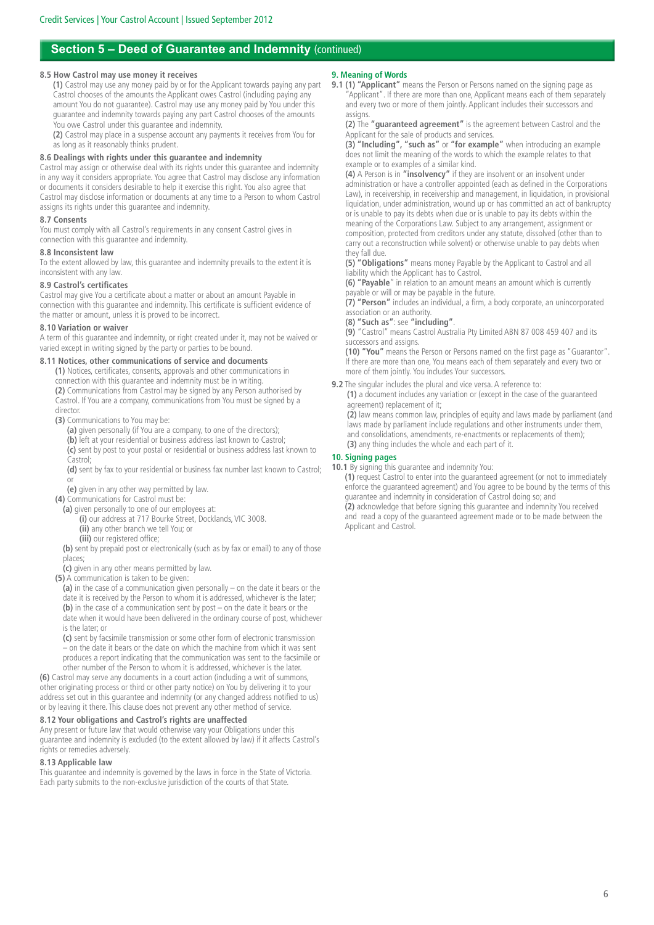# **Section 5 – Deed of Guarantee and Indemnity (continued)**

#### **8.5 How Castrol may use money it receives**

 **(1)** Castrol may use any money paid by or for the Applicant towards paying any part Castrol chooses of the amounts the Applicant owes Castrol (including paying any amount You do not guarantee). Castrol may use any money paid by You under this guarantee and indemnity towards paying any part Castrol chooses of the amounts You owe Castrol under this guarantee and indemnity.

**(2)** Castrol may place in a suspense account any payments it receives from You for as long as it reasonably thinks prudent.

#### **8.6 Dealings with rights under this guarantee and indemnity**

Castrol may assign or otherwise deal with its rights under this guarantee and indemnity in any way it considers appropriate. You agree that Castrol may disclose any information or documents it considers desirable to help it exercise this right. You also agree that Castrol may disclose information or documents at any time to a Person to whom Castrol assigns its rights under this guarantee and indemnity.

#### **8.7 Consents**

You must comply with all Castrol's requirements in any consent Castrol gives in connection with this guarantee and indemnity.

#### **8.8 Inconsistent law**

To the extent allowed by law, this guarantee and indemnity prevails to the extent it is inconsistent with any law.

### **8.9 Castrol's certificates**

Castrol may give You a certificate about a matter or about an amount Payable in connection with this guarantee and indemnity. This certificate is sufficient evidence of the matter or amount, unless it is proved to be incorrect.

#### **8.10 Variation or waiver**

A term of this guarantee and indemnity, or right created under it, may not be waived or varied except in writing signed by the party or parties to be bound.

#### **8.11 Notices, other communications of service and documents**

 **(1)** Notices, certificates, consents, approvals and other communications in connection with this guarantee and indemnity must be in writing. **(2)** Communications from Castrol may be signed by any Person authorised by Castrol. If You are a company, communications from You must be signed by a director.

**(3)** Communications to You may be:

- **(a)** given personally (if You are a company, to one of the directors); **(b)** left at your residential or business address last known to Castrol; **(c)** sent by post to your postal or residential or business address last known to Castrol;
- **(d)** sent by fax to your residential or business fax number last known to Castrol; or

**(e)** given in any other way permitted by law.

**(4)** Communications for Castrol must be:

- **(a)** given personally to one of our employees at: **(i)** our address at 717 Bourke Street, Docklands, VIC 3008.
	- **(ii)** any other branch we tell You; or
	- **(iii)** our registered office;

**(b)** sent by prepaid post or electronically (such as by fax or email) to any of those places;

- **(c)** given in any other means permitted by law.
- **(5)** A communication is taken to be given:
	- **(a)** in the case of a communication given personally on the date it bears or the date it is received by the Person to whom it is addressed, whichever is the later; **(b)** in the case of a communication sent by post – on the date it bears or the date when it would have been delivered in the ordinary course of post, whichever is the later; or
	- **(c)** sent by facsimile transmission or some other form of electronic transmission – on the date it bears or the date on which the machine from which it was sent produces a report indicating that the communication was sent to the facsimile or other number of the Person to whom it is addressed, whichever is the later.

**(6)** Castrol may serve any documents in a court action (including a writ of summons, other originating process or third or other party notice) on You by delivering it to your address set out in this guarantee and indemnity (or any changed address notified to us) or by leaving it there. This clause does not prevent any other method of service.

#### **8.12 Your obligations and Castrol's rights are unaffected**

Any present or future law that would otherwise vary your Obligations under this guarantee and indemnity is excluded (to the extent allowed by law) if it affects Castrol's rights or remedies adversely.

#### **8.13 Applicable law**

This guarantee and indemnity is governed by the laws in force in the State of Victoria. Each party submits to the non-exclusive jurisdiction of the courts of that State.

#### **9. Meaning of Words**

**9.1 (1) "Applicant"** means the Person or Persons named on the signing page as "Applicant". If there are more than one, Applicant means each of them separately and every two or more of them jointly. Applicant includes their successors and assigns.

**(2)** The **"guaranteed agreement"** is the agreement between Castrol and the Applicant for the sale of products and services.

**(3) "Including", "such as"** or **"for example"** when introducing an example does not limit the meaning of the words to which the example relates to that example or to examples of a similar kind.

**(4)** A Person is in **"insolvency"** if they are insolvent or an insolvent under administration or have a controller appointed (each as defined in the Corporations Law), in receivership, in receivership and management, in liquidation, in provisional liquidation, under administration, wound up or has committed an act of bankruptcy or is unable to pay its debts when due or is unable to pay its debts within the meaning of the Corporations Law. Subject to any arrangement, assignment or composition, protected from creditors under any statute, dissolved (other than to carry out a reconstruction while solvent) or otherwise unable to pay debts when they fall due.

**(5) "Obligations"** means money Payable by the Applicant to Castrol and all liability which the Applicant has to Castrol.

**(6) "Payable**" in relation to an amount means an amount which is currently payable or will or may be payable in the future.

**(7) "Person"** includes an individual, a firm, a body corporate, an unincorporated association or an authority.

## **(8) "Such as"**: see **"including"**.

**(9)** "Castrol" means Castrol Australia Pty Limited ABN 87 008 459 407 and its successors and assigns.

**(10) "You"** means the Person or Persons named on the first page as "Guarantor". If there are more than one, You means each of them separately and every two or more of them jointly. You includes Your successors.

**9.2** The singular includes the plural and vice versa. A reference to:

 **(1)** a document includes any variation or (except in the case of the guaranteed agreement) replacement of it:

**(2)** law means common law, principles of equity and laws made by parliament (and laws made by parliament include regulations and other instruments under them, and consolidations, amendments, re-enactments or replacements of them); **(3)** any thing includes the whole and each part of it.

#### **10. Signing pages**

**10.1** By signing this guarantee and indemnity You:

 **(1)** request Castrol to enter into the guaranteed agreement (or not to immediately enforce the guaranteed agreement) and You agree to be bound by the terms of this guarantee and indemnity in consideration of Castrol doing so; and

**(2)** acknowledge that before signing this guarantee and indemnity You received and read a copy of the guaranteed agreement made or to be made between the Applicant and Castrol.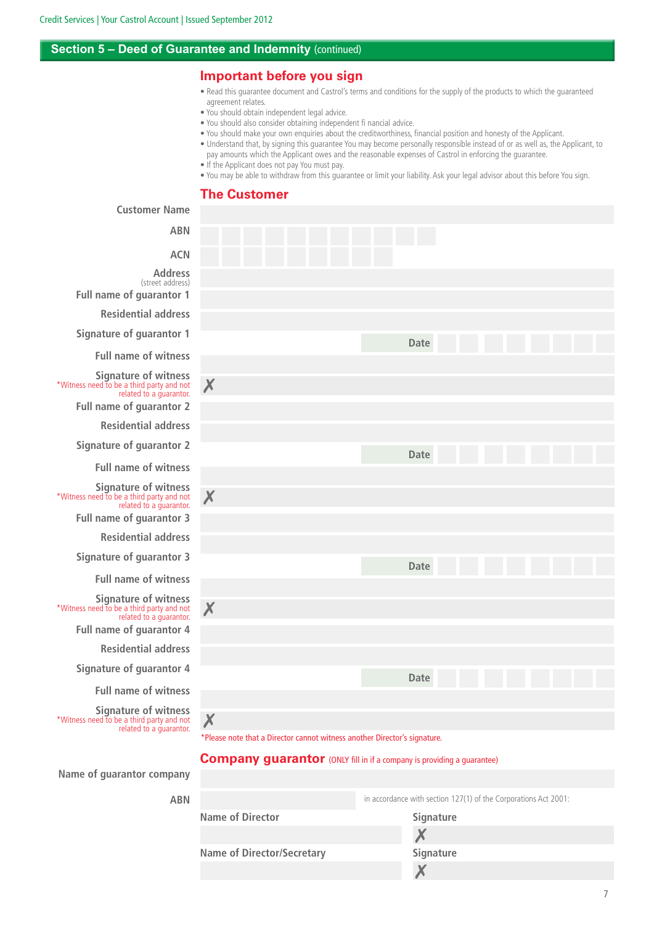**Customer Name**

# **Section 5 – Deed of Guarantee and Indemnity (continued)**

# **Important before you sign**

- Read this guarantee document and Castrol's terms and conditions for the supply of the products to which the guaranteed agreement relates.
- You should obtain independent legal advice.
- You should also consider obtaining independent fi nancial advice.
- You should make your own enquiries about the creditworthiness, financial position and honesty of the Applicant.
- Understand that, by signing this guarantee You may become personally responsible instead of or as well as, the Applicant, to pay amounts which the Applicant owes and the reasonable expenses of Castrol in enforcing the guarantee.
	-
- If the Applicant does not pay You must pay.
- You may be able to withdraw from this guarantee or limit your liability. Ask your legal advisor about this before You sign.

# **The Customer**

| כשטנטווכו וזמוווכ                                                                                   |                                                                                |
|-----------------------------------------------------------------------------------------------------|--------------------------------------------------------------------------------|
| <b>ABN</b>                                                                                          |                                                                                |
| <b>ACN</b>                                                                                          |                                                                                |
| <b>Address</b><br>(street address)<br><b>Full name of guarantor 1</b>                               |                                                                                |
| <b>Residential address</b>                                                                          |                                                                                |
| <b>Signature of guarantor 1</b>                                                                     | <b>Date</b>                                                                    |
| <b>Full name of witness</b>                                                                         |                                                                                |
| <b>Signature of witness</b><br>*Witness need to be a third party and not<br>related to a guarantor. | X                                                                              |
| <b>Full name of guarantor 2</b>                                                                     |                                                                                |
| <b>Residential address</b>                                                                          |                                                                                |
| <b>Signature of guarantor 2</b>                                                                     | <b>Date</b>                                                                    |
| <b>Full name of witness</b>                                                                         |                                                                                |
| <b>Signature of witness</b><br>*Witness need to be a third party and not<br>related to a guarantor. | X                                                                              |
| Full name of guarantor 3                                                                            |                                                                                |
| <b>Residential address</b>                                                                          |                                                                                |
| <b>Signature of guarantor 3</b>                                                                     | Date                                                                           |
| <b>Full name of witness</b>                                                                         |                                                                                |
| <b>Signature of witness</b><br>*Witness need to be a third party and not<br>related to a guarantor. | X                                                                              |
| Full name of guarantor 4                                                                            |                                                                                |
| <b>Residential address</b>                                                                          |                                                                                |
| <b>Signature of guarantor 4</b>                                                                     | <b>Date</b>                                                                    |
| <b>Full name of witness</b>                                                                         |                                                                                |
| <b>Signature of witness</b><br>*Witness need to be a third party and not<br>related to a guarantor. | X<br>*Please note that a Director cannot witness another Director's signature. |
|                                                                                                     |                                                                                |

## **Company guarantor** (ONLY fill in if a company is providing a guarantee)

**Name of guarantor company**

**ABN**

|                                   | in accordance with section 127(1) of the Corporations Act 2001: |
|-----------------------------------|-----------------------------------------------------------------|
| <b>Name of Director</b>           | Signature                                                       |
|                                   |                                                                 |
| <b>Name of Director/Secretary</b> | <b>Signature</b>                                                |
|                                   |                                                                 |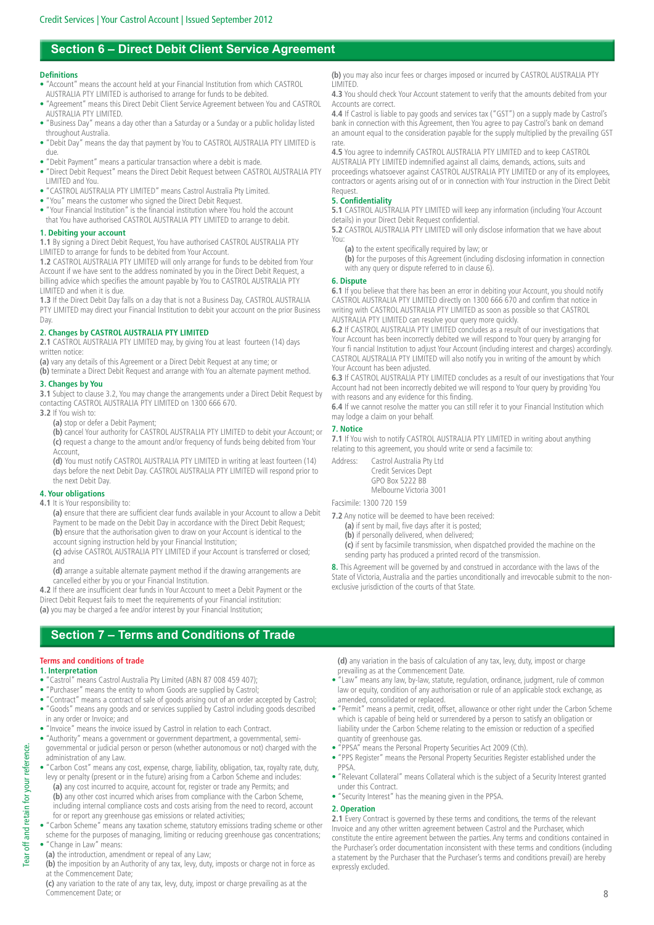# **Section 6 – Direct Debit Client Service Agreement**

#### **Definitions**

- "Account" means the account held at your Financial Institution from which CASTROL AUSTRALIA PTY LIMITED is authorised to arrange for funds to be debited.
- "Agreement" means this Direct Debit Client Service Agreement between You and CASTROL AUSTRALIA PTY LIMITED.
- "Business Day" means a day other than a Saturday or a Sunday or a public holiday listed throughout Australia.
- "Debit Day" means the day that payment by You to CASTROL AUSTRALIA PTY LIMITED is due.
- "Debit Payment" means a particular transaction where a debit is made.
- "Direct Debit Request" means the Direct Debit Request between CASTROL AUSTRALIA PTY LIMITED and You.
- "CASTROL AUSTRALIA PTY LIMITED" means Castrol Australia Pty Limited.
- "You" means the customer who signed the Direct Debit Request.
- "Your Financial Institution" is the financial institution where You hold the account that You have authorised CASTROL AUSTRALIA PTY LIMITED to arrange to debit.

#### **1. Debiting your account**

**1.1** By signing a Direct Debit Request, You have authorised CASTROL AUSTRALIA PTY LIMITED to arrange for funds to be debited from Your Account.

**1.2** CASTROL AUSTRALIA PTY LIMITED will only arrange for funds to be debited from Your Account if we have sent to the address nominated by you in the Direct Debit Request, a billing advice which specifies the amount payable by You to CASTROL AUSTRALIA PTY LIMITED and when it is due.

**1.3** If the Direct Debit Day falls on a day that is not a Business Day, CASTROL AUSTRALIA PTY LIMITED may direct your Financial Institution to debit your account on the prior Business Day.

#### **2. Changes by CASTROL AUSTRALIA PTY LIMITED**

**2.1** CASTROL AUSTRALIA PTY LIMITED may, by giving You at least fourteen (14) days written notice:

**(a)** vary any details of this Agreement or a Direct Debit Request at any time; or

**(b)** terminate a Direct Debit Request and arrange with You an alternate payment method. **3. Changes by You**

**3.1** Subject to clause 3.2, You may change the arrangements under a Direct Debit Request by contacting CASTROL AUSTRALIA PTY LIMITED on 1300 666 670.

**3.2** If You wish to:

**(a)** stop or defer a Debit Payment;

**(b)** cancel Your authority for CASTROL AUSTRALIA PTY LIMITED to debit your Account; or **(c)** request a change to the amount and/or frequency of funds being debited from Your Account,

**(d)** You must notify CASTROL AUSTRALIA PTY LIMITED in writing at least fourteen (14) days before the next Debit Day. CASTROL AUSTRALIA PTY LIMITED will respond prior to the next Debit Day.

#### **4. Your obligations**

#### **4.1** It is Your responsibility to:

 **(a)** ensure that there are sufficient clear funds available in your Account to allow a Debit Payment to be made on the Debit Day in accordance with the Direct Debit Request; **(b)** ensure that the authorisation given to draw on your Account is identical to the account signing instruction held by your Financial Institution;

**(c)** advise CASTROL AUSTRALIA PTY LIMITED if your Account is transferred or closed; and

**(d)** arrange a suitable alternate payment method if the drawing arrangements are cancelled either by you or your Financial Institution.

**4.2** If there are insufficient clear funds in Your Account to meet a Debit Payment or the Direct Debit Request fails to meet the requirements of your Financial institution: **(a)** you may be charged a fee and/or interest by your Financial Institution;

# **Section 7 – Terms and Conditions of Trade**

#### **Terms and conditions of trade**

#### **1. Interpretation**

- "Castrol" means Castrol Australia Pty Limited (ABN 87 008 459 407);
- "Purchaser" means the entity to whom Goods are supplied by Castrol;
- "Contract" means a contract of sale of goods arising out of an order accepted by Castrol;
- "Goods" means any goods and or services supplied by Castrol including goods described in any order or Invoice; and
- "Invoice" means the invoice issued by Castrol in relation to each Contract.
- "Authority" means a government or government department, a governmental, semigovernmental or judicial person or person (whether autonomous or not) charged with the administration of any Law.
- "Carbon Cost" means any cost, expense, charge, liability, obligation, tax, royalty rate, duty, levy or penalty (present or in the future) arising from a Carbon Scheme and includes:
	- **(a)** any cost incurred to acquire, account for, register or trade any Permits; and **(b)** any other cost incurred which arises from compliance with the Carbon Scheme, including internal compliance costs and costs arising from the need to record, account for or report any greenhouse gas emissions or related activities;
- "Carbon Scheme" means any taxation scheme, statutory emissions trading scheme or other
- scheme for the purposes of managing, limiting or reducing greenhouse gas concentrations;
- "Change in Law" means:

and retain for your reference. Tear off and retain for your reference.

 $\ddot{\overline{5}}$ Tear

**(a)** the introduction, amendment or repeal of any Law;

**(b)** the imposition by an Authority of any tax, levy, duty, imposts or charge not in force as at the Commencement Date;

**(c)** any variation to the rate of any tax, levy, duty, impost or charge prevailing as at the Commencement Date; or

**(b)** you may also incur fees or charges imposed or incurred by CASTROL AUSTRALIA PTY LIMITED.

**4.3** You should check Your Account statement to verify that the amounts debited from your Accounts are correct.

**4.4** If Castrol is liable to pay goods and services tax ("GST") on a supply made by Castrol's bank in connection with this Agreement, then You agree to pay Castrol's bank on demand an amount equal to the consideration payable for the supply multiplied by the prevailing GST rate.

**4.5** You agree to indemnify CASTROL AUSTRALIA PTY LIMITED and to keep CASTROL AUSTRALIA PTY LIMITED indemnified against all claims, demands, actions, suits and proceedings whatsoever against CASTROL AUSTRALIA PTY LIMITED or any of its employees, contractors or agents arising out of or in connection with Your instruction in the Direct Debit Request

#### **5. Confidentiality**

**5.1** CASTROL AUSTRALIA PTY LIMITED will keep any information (including Your Account details) in your Direct Debit Request confidential.

**5.2** CASTROL AUSTRALIA PTY LIMITED will only disclose information that we have about You:

**(a)** to the extent specifically required by law; or

**(b)** for the purposes of this Agreement (including disclosing information in connection with any query or dispute referred to in clause 6).

#### **6. Dispute**

**6.1** If you believe that there has been an error in debiting your Account, you should notify CASTROL AUSTRALIA PTY LIMITED directly on 1300 666 670 and confirm that notice in writing with CASTROL AUSTRALIA PTY LIMITED as soon as possible so that CASTROL AUSTRALIA PTY LIMITED can resolve your query more quickly.

**6.2** If CASTROL AUSTRALIA PTY LIMITED concludes as a result of our investigations that Your Account has been incorrectly debited we will respond to Your query by arranging for Your fi nancial Institution to adjust Your Account (including interest and charges) accordingly. CASTROL AUSTRALIA PTY LIMITED will also notify you in writing of the amount by which Your Account has been adjusted.

**6.3** If CASTROL AUSTRALIA PTY LIMITED concludes as a result of our investigations that Your Account had not been incorrectly debited we will respond to Your query by providing You with reasons and any evidence for this finding.

**6.4** If we cannot resolve the matter you can still refer it to your Financial Institution which may lodge a claim on your behalf.

#### **7. Notice**

**7.1** If You wish to notify CASTROL AUSTRALIA PTY LIMITED in writing about anything relating to this agreement, you should write or send a facsimile to:

| Address: | Castrol Australia Pty Ltd |
|----------|---------------------------|
|          | Credit Services Dept      |
|          | GPO Box 5222 BB           |
|          | Melbourne Victoria 3001   |
|          |                           |

Facsimile: 1300 720 159

- **7.2** Any notice will be deemed to have been received:
- **(a)** if sent by mail, five days after it is posted; **(b)** if personally delivered, when delivered; **(c)** if sent by facsimile transmission, when dispatched provided the machine on the

sending party has produced a printed record of the transmission.

**8.** This Agreement will be governed by and construed in accordance with the laws of the State of Victoria, Australia and the parties unconditionally and irrevocable submit to the nonexclusive jurisdiction of the courts of that State.

**(d)** any variation in the basis of calculation of any tax, levy, duty, impost or charge prevailing as at the Commencement Date.

- "Law" means any law, by-law, statute, regulation, ordinance, judgment, rule of common law or equity, condition of any authorisation or rule of an applicable stock exchange, as amended, consolidated or replaced.
- "Permit" means a permit, credit, offset, allowance or other right under the Carbon Scheme which is capable of being held or surrendered by a person to satisfy an obligation or liability under the Carbon Scheme relating to the emission or reduction of a specified quantity of greenhouse gas.
- "PPSA" means the Personal Property Securities Act 2009 (Cth).
- "PPS Register" means the Personal Property Securities Register established under the PPSA.
- "Relevant Collateral" means Collateral which is the subject of a Security Interest granted under this Contract.
- "Security Interest" has the meaning given in the PPSA.

#### **2. Operation**

**2.1** Every Contract is governed by these terms and conditions, the terms of the relevant Invoice and any other written agreement between Castrol and the Purchaser, which constitute the entire agreement between the parties. Any terms and conditions contained in the Purchaser's order documentation inconsistent with these terms and conditions (including a statement by the Purchaser that the Purchaser's terms and conditions prevail) are hereby expressly excluded.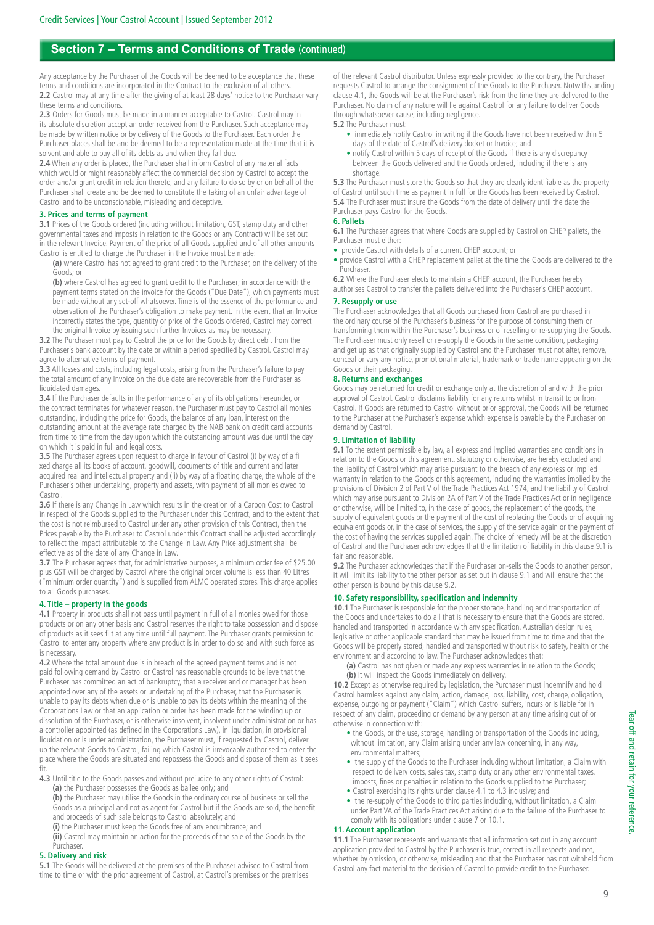# **Section 7 – Terms and Conditions of Trade** (continued)

Any acceptance by the Purchaser of the Goods will be deemed to be acceptance that these terms and conditions are incorporated in the Contract to the exclusion of all others. **2.2** Castrol may at any time after the giving of at least 28 days' notice to the Purchaser vary these terms and conditions.

**2.3** Orders for Goods must be made in a manner acceptable to Castrol. Castrol may in its absolute discretion accept an order received from the Purchaser. Such acceptance may be made by written notice or by delivery of the Goods to the Purchaser. Each order the Purchaser places shall be and be deemed to be a representation made at the time that it is solvent and able to pay all of its debts as and when they fall due.

2.4 When any order is placed, the Purchaser shall inform Castrol of any material facts which would or might reasonably affect the commercial decision by Castrol to accept the order and/or grant credit in relation thereto, and any failure to do so by or on behalf of the Purchaser shall create and be deemed to constitute the taking of an unfair advantage of Castrol and to be unconscionable, misleading and deceptive.

#### **3. Prices and terms of payment**

**3.1** Prices of the Goods ordered (including without limitation, GST, stamp duty and other governmental taxes and imposts in relation to the Goods or any Contract) will be set out in the relevant Invoice. Payment of the price of all Goods supplied and of all other amounts Castrol is entitled to charge the Purchaser in the Invoice must be made:

 **(a)** where Castrol has not agreed to grant credit to the Purchaser, on the delivery of the Goods; or

**(b)** where Castrol has agreed to grant credit to the Purchaser; in accordance with the payment terms stated on the invoice for the Goods ("Due Date"), which payments must be made without any set-off whatsoever. Time is of the essence of the performance and observation of the Purchaser's obligation to make payment. In the event that an Invoice incorrectly states the type, quantity or price of the Goods ordered, Castrol may correct the original Invoice by issuing such further Invoices as may be necessary.

**3.2** The Purchaser must pay to Castrol the price for the Goods by direct debit from the Purchaser's bank account by the date or within a period specified by Castrol. Castrol may agree to alternative terms of payment.

**3.3** All losses and costs, including legal costs, arising from the Purchaser's failure to pay the total amount of any Invoice on the due date are recoverable from the Purchaser as liquidated damages.

**3.4** If the Purchaser defaults in the performance of any of its obligations hereunder, or the contract terminates for whatever reason, the Purchaser must pay to Castrol all monies outstanding, including the price for Goods, the balance of any loan, interest on the outstanding amount at the average rate charged by the NAB bank on credit card accounts from time to time from the day upon which the outstanding amount was due until the day on which it is paid in full and legal costs.

**3.5** The Purchaser agrees upon request to charge in favour of Castrol (i) by way of a fi xed charge all its books of account, goodwill, documents of title and current and later acquired real and intellectual property and (ii) by way of a floating charge, the whole of the Purchaser's other undertaking, property and assets, with payment of all monies owed to Castrol.

**3.6** If there is any Change in Law which results in the creation of a Carbon Cost to Castrol in respect of the Goods supplied to the Purchaser under this Contract, and to the extent that the cost is not reimbursed to Castrol under any other provision of this Contract, then the Prices payable by the Purchaser to Castrol under this Contract shall be adjusted accordingly to reflect the impact attributable to the Change in Law. Any Price adjustment shall be effective as of the date of any Change in Law.

**3.7** The Purchaser agrees that, for administrative purposes, a minimum order fee of \$25.00 plus GST will be charged by Castrol where the original order volume is less than 40 Litres ("minimum order quantity") and is supplied from ALMC operated stores. This charge applies to all Goods purchases.

#### **4. Title – property in the goods**

**4.1** Property in products shall not pass until payment in full of all monies owed for those products or on any other basis and Castrol reserves the right to take possession and dispose of products as it sees fi t at any time until full payment. The Purchaser grants permission to Castrol to enter any property where any product is in order to do so and with such force as is necessary.

**4.2** Where the total amount due is in breach of the agreed payment terms and is not paid following demand by Castrol or Castrol has reasonable grounds to believe that the Purchaser has committed an act of bankruptcy, that a receiver and or manager has been appointed over any of the assets or undertaking of the Purchaser, that the Purchaser is unable to pay its debts when due or is unable to pay its debts within the meaning of the Corporations Law or that an application or order has been made for the winding up or dissolution of the Purchaser, or is otherwise insolvent, insolvent under administration or has a controller appointed (as defined in the Corporations Law), in liquidation, in provisional liquidation or is under administration, the Purchaser must, if requested by Castrol, deliver up the relevant Goods to Castrol, failing which Castrol is irrevocably authorised to enter the place where the Goods are situated and repossess the Goods and dispose of them as it sees fit.

**4.3** Until title to the Goods passes and without prejudice to any other rights of Castrol: **(a)** the Purchaser possesses the Goods as bailee only; and

**(b)** the Purchaser may utilise the Goods in the ordinary course of business or sell the Goods as a principal and not as agent for Castrol but if the Goods are sold, the benefit and proceeds of such sale belongs to Castrol absolutely; and

**(i)** the Purchaser must keep the Goods free of any encumbrance; and

**(ii)** Castrol may maintain an action for the proceeds of the sale of the Goods by the Purchaser.

#### **5. Delivery and risk**

**5.1** The Goods will be delivered at the premises of the Purchaser advised to Castrol from time to time or with the prior agreement of Castrol, at Castrol's premises or the premises

of the relevant Castrol distributor. Unless expressly provided to the contrary, the Purchaser requests Castrol to arrange the consignment of the Goods to the Purchaser. Notwithstanding clause 4.1, the Goods will be at the Purchaser's risk from the time they are delivered to the Purchaser. No claim of any nature will lie against Castrol for any failure to deliver Goods through whatsoever cause, including negligence.

#### **5.2** The Purchaser must:

- immediately notify Castrol in writing if the Goods have not been received within 5 days of the date of Castrol's delivery docket or Invoice; and
- notify Castrol within 5 days of receipt of the Goods if there is any discrepancy between the Goods delivered and the Goods ordered, including if there is any shortage.

**5.3** The Purchaser must store the Goods so that they are clearly identifiable as the property of Castrol until such time as payment in full for the Goods has been received by Castrol. **5.4** The Purchaser must insure the Goods from the date of delivery until the date the Purchaser pays Castrol for the Goods.

#### **6. Pallets**

**6.1** The Purchaser agrees that where Goods are supplied by Castrol on CHEP pallets, the Purchaser must either:

• provide Castrol with details of a current CHEP account; or

• provide Castrol with a CHEP replacement pallet at the time the Goods are delivered to the Purchaser.

**6.2** Where the Purchaser elects to maintain a CHEP account, the Purchaser hereby authorises Castrol to transfer the pallets delivered into the Purchaser's CHEP account.

#### **7. Resupply or use**

The Purchaser acknowledges that all Goods purchased from Castrol are purchased in the ordinary course of the Purchaser's business for the purpose of consuming them or transforming them within the Purchaser's business or of reselling or re-supplying the Goods. The Purchaser must only resell or re-supply the Goods in the same condition, packaging and get up as that originally supplied by Castrol and the Purchaser must not alter, remove, conceal or vary any notice, promotional material, trademark or trade name appearing on the Goods or their packaging.

#### **8. Returns and exchanges**

Goods may be returned for credit or exchange only at the discretion of and with the prior approval of Castrol. Castrol disclaims liability for any returns whilst in transit to or from Castrol. If Goods are returned to Castrol without prior approval, the Goods will be returned to the Purchaser at the Purchaser's expense which expense is payable by the Purchaser on demand by Castrol.

#### **9. Limitation of liability**

**9.1** To the extent permissible by law, all express and implied warranties and conditions in relation to the Goods or this agreement, statutory or otherwise, are hereby excluded and the liability of Castrol which may arise pursuant to the breach of any express or implied warranty in relation to the Goods or this agreement, including the warranties implied by the provisions of Division 2 of Part V of the Trade Practices Act 1974, and the liability of Castrol which may arise pursuant to Division 2A of Part V of the Trade Practices Act or in negligence or otherwise, will be limited to, in the case of goods, the replacement of the goods, the supply of equivalent goods or the payment of the cost of replacing the Goods or of acquiring equivalent goods or, in the case of services, the supply of the service again or the payment of the cost of having the services supplied again. The choice of remedy will be at the discretion of Castrol and the Purchaser acknowledges that the limitation of liability in this clause 9.1 is fair and reasonable.

**9.2** The Purchaser acknowledges that if the Purchaser on-sells the Goods to another person, it will limit its liability to the other person as set out in clause 9.1 and will ensure that the other person is bound by this clause 9.2.

#### **10. Safety responsibility, specification and indemnity**

**10.1** The Purchaser is responsible for the proper storage, handling and transportation of the Goods and undertakes to do all that is necessary to ensure that the Goods are stored, handled and transported in accordance with any specification, Australian design rules, legislative or other applicable standard that may be issued from time to time and that the Goods will be properly stored, handled and transported without risk to safety, health or the environment and according to law. The Purchaser acknowledges that:

 **(a)** Castrol has not given or made any express warranties in relation to the Goods; **(b)** It will inspect the Goods immediately on delivery.

**10.2** Except as otherwise required by legislation, the Purchaser must indemnify and hold Castrol harmless against any claim, action, damage, loss, liability, cost, charge, obligation, expense, outgoing or payment ("Claim") which Castrol suffers, incurs or is liable for in respect of any claim, proceeding or demand by any person at any time arising out of or otherwise in connection with:

- the Goods, or the use, storage, handling or transportation of the Goods including, without limitation, any Claim arising under any law concerning, in any way, environmental matters;
- the supply of the Goods to the Purchaser including without limitation, a Claim with respect to delivery costs, sales tax, stamp duty or any other environmental taxes, imposts, fines or penalties in relation to the Goods supplied to the Purchaser;
- Castrol exercising its rights under clause 4.1 to 4.3 inclusive; and
- the re-supply of the Goods to third parties including, without limitation, a Claim under Part VA of the Trade Practices Act arising due to the failure of the Purchaser to comply with its obligations under clause 7 or 10.1.

#### **11. Account application**

**11.1** The Purchaser represents and warrants that all information set out in any account application provided to Castrol by the Purchaser is true, correct in all respects and not, whether by omission, or otherwise, misleading and that the Purchaser has not withheld from Castrol any fact material to the decision of Castrol to provide credit to the Purchaser.